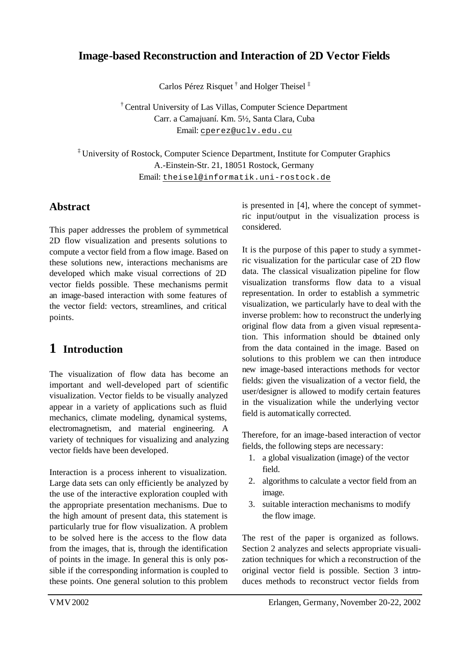## **Image-based Reconstruction and Interaction of 2D Vector Fields**

Carlos Pérez Risquet<sup>†</sup> and Holger Theisel<sup>‡</sup>

† Central University of Las Villas, Computer Science Department Carr. a Camajuaní. Km. 5½, Santa Clara, Cuba Email: cperez@uclv.edu.cu

‡ University of Rostock, Computer Science Department, Institute for Computer Graphics A.-Einstein-Str. 21, 18051 Rostock, Germany Email: theisel@informatik.uni-rostock.de

### **Abstract**

This paper addresses the problem of symmetrical 2D flow visualization and presents solutions to compute a vector field from a flow image. Based on these solutions new, interactions mechanisms are developed which make visual corrections of 2D vector fields possible. These mechanisms permit an image-based interaction with some features of the vector field: vectors, streamlines, and critical points.

# **1 Introduction**

The visualization of flow data has become an important and well-developed part of scientific visualization. Vector fields to be visually analyzed appear in a variety of applications such as fluid mechanics, climate modeling, dynamical systems, electromagnetism, and material engineering. A variety of techniques for visualizing and analyzing vector fields have been developed.

Interaction is a process inherent to visualization. Large data sets can only efficiently be analyzed by the use of the interactive exploration coupled with the appropriate presentation mechanisms. Due to the high amount of present data, this statement is particularly true for flow visualization. A problem to be solved here is the access to the flow data from the images, that is, through the identification of points in the image. In general this is only possible if the corresponding information is coupled to these points. One general solution to this problem

is presented in [4], where the concept of symmetric input/output in the visualization process is considered.

It is the purpose of this paper to study a symmetric visualization for the particular case of 2D flow data. The classical visualization pipeline for flow visualization transforms flow data to a visual representation. In order to establish a symmetric visualization, we particularly have to deal with the inverse problem: how to reconstruct the underlying original flow data from a given visual representation. This information should be obtained only from the data contained in the image. Based on solutions to this problem we can then introduce new image-based interactions methods for vector fields: given the visualization of a vector field, the user/designer is allowed to modify certain features in the visualization while the underlying vector field is automatically corrected.

Therefore, for an image-based interaction of vector fields, the following steps are necessary:

- 1. a global visualization (image) of the vector field.
- 2. algorithms to calculate a vector field from an image.
- 3. suitable interaction mechanisms to modify the flow image.

The rest of the paper is organized as follows. Section 2 analyzes and selects appropriate visualization techniques for which a reconstruction of the original vector field is possible. Section 3 introduces methods to reconstruct vector fields from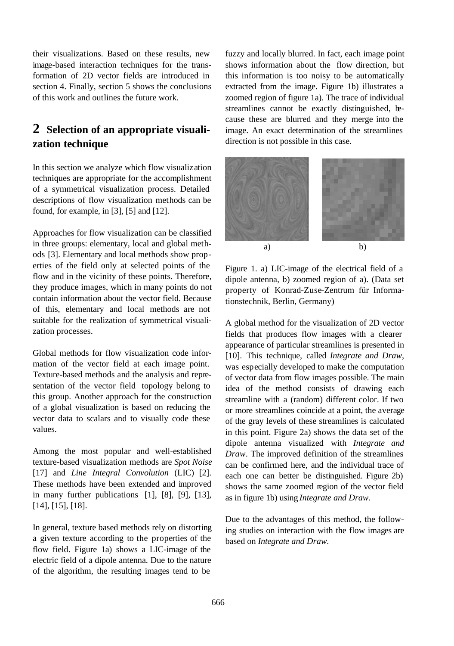their visualizations. Based on these results, new image-based interaction techniques for the transformation of 2D vector fields are introduced in section 4. Finally, section 5 shows the conclusions of this work and outlines the future work.

## **2 Selection of an appropriate visualization technique**

In this section we analyze which flow visualization techniques are appropriate for the accomplishment of a symmetrical visualization process. Detailed descriptions of flow visualization methods can be found, for example, in [3], [5] and [12].

Approaches for flow visualization can be classified in three groups: elementary, local and global methods [3]. Elementary and local methods show properties of the field only at selected points of the flow and in the vicinity of these points. Therefore, they produce images, which in many points do not contain information about the vector field. Because of this, elementary and local methods are not suitable for the realization of symmetrical visualization processes.

Global methods for flow visualization code information of the vector field at each image point. Texture-based methods and the analysis and representation of the vector field topology belong to this group. Another approach for the construction of a global visualization is based on reducing the vector data to scalars and to visually code these values.

Among the most popular and well-established texture-based visualization methods are *Spot Noise* [17] and *Line Integral Convolution* (LIC) [2]. These methods have been extended and improved in many further publications [1], [8], [9], [13], [14], [15], [18].

In general, texture based methods rely on distorting a given texture according to the properties of the flow field. Figure 1a) shows a LIC-image of the electric field of a dipole antenna. Due to the nature of the algorithm, the resulting images tend to be

fuzzy and locally blurred. In fact, each image point shows information about the flow direction, but this information is too noisy to be automatically extracted from the image. Figure 1b) illustrates a zoomed region of figure 1a). The trace of individual streamlines cannot be exactly distinguished, because these are blurred and they merge into the image. An exact determination of the streamlines direction is not possible in this case.



Figure 1. a) LIC-image of the electrical field of a dipole antenna, b) zoomed region of a). (Data set property of Konrad-Zuse-Zentrum für Informationstechnik, Berlin, Germany)

A global method for the visualization of 2D vector fields that produces flow images with a clearer appearance of particular streamlines is presented in [10]. This technique, called *Integrate and Draw*, was especially developed to make the computation of vector data from flow images possible. The main idea of the method consists of drawing each streamline with a (random) different color. If two or more streamlines coincide at a point, the average of the gray levels of these streamlines is calculated in this point. Figure 2a) shows the data set of the dipole antenna visualized with *Integrate and Draw*. The improved definition of the streamlines can be confirmed here, and the individual trace of each one can better be distinguished. Figure 2b) shows the same zoomed region of the vector field as in figure 1b) using *Integrate and Draw.*

Due to the advantages of this method, the following studies on interaction with the flow images are based on *Integrate and Draw.*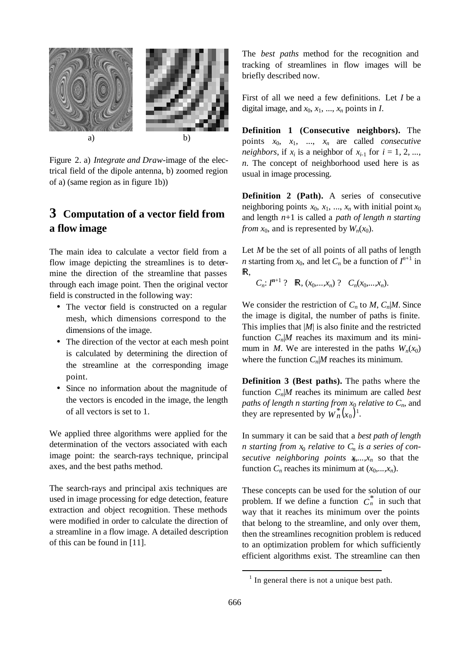

Figure 2. a) *Integrate and Draw*-image of the electrical field of the dipole antenna, b) zoomed region of a) (same region as in figure 1b))

## **3 Computation of a vector field from a flow image**

The main idea to calculate a vector field from a flow image depicting the streamlines is to determine the direction of the streamline that passes through each image point. Then the original vector field is constructed in the following way:

- The vector field is constructed on a regular mesh, which dimensions correspond to the dimensions of the image.
- The direction of the vector at each mesh point is calculated by determining the direction of the streamline at the corresponding image point.
- Since no information about the magnitude of the vectors is encoded in the image, the length of all vectors is set to 1.

We applied three algorithms were applied for the determination of the vectors associated with each image point: the search-rays technique, principal axes, and the best paths method.

The search-rays and principal axis techniques are used in image processing for edge detection, feature extraction and object recognition. These methods were modified in order to calculate the direction of a streamline in a flow image. A detailed description of this can be found in [11].

The *best paths* method for the recognition and tracking of streamlines in flow images will be briefly described now.

First of all we need a few definitions. Let *I* be a digital image, and  $x_0, x_1, \ldots, x_n$  points in *I*.

**Definition 1 (Consecutive neighbors).** The points  $x_0$ ,  $x_1$ , ...,  $x_n$  are called *consecutive neighbors*, if  $x_i$  is a neighbor of  $x_{i-1}$  for  $i = 1, 2, ...,$ *n*. The concept of neighborhood used here is as usual in image processing.

**Definition 2 (Path).** A series of consecutive neighboring points  $x_0$ ,  $x_1$ , ...,  $x_n$  with initial point  $x_0$ and length *n*+1 is called a *path of length n starting from*  $x_0$ , and is represented by  $W_n(x_0)$ .

Let *M* be the set of all points of all paths of length *n* starting from  $x_0$ , and let  $C_n$  be a function of  $I^{n+1}$  in  $\mathbb{R},$ 

 $C_n$ :  $I^{n+1}$  ? **R**,  $(x_0,...,x_n)$  ?  $C_n(x_0,...,x_n)$ .

We consider the restriction of  $C_n$  to  $M$ ,  $C_n|M$ . Since the image is digital, the number of paths is finite. This implies that |*M*| is also finite and the restricted function  $C_n/M$  reaches its maximum and its minimum in *M*. We are interested in the paths  $W_n(x_0)$ where the function  $C_n|M$  reaches its minimum.

**Definition 3 (Best paths).** The paths where the function  $C_n|M$  reaches its minimum are called *best paths of length n starting from*  $x_0$  *relative to*  $C_n$ , and they are represented by  $W_n^*(x_0)^1$ .

In summary it can be said that a *best path of length n* starting from  $x_0$  relative to  $C_n$  is a series of con*secutive neighboring points*  $x_0, \ldots, x_n$  so that the function  $C_n$  reaches its minimum at  $(x_0,...,x_n)$ .

These concepts can be used for the solution of our problem. If we define a function  $C_n^*$  in such that way that it reaches its minimum over the points that belong to the streamline, and only over them, then the streamlines recognition problem is reduced to an optimization problem for which sufficiently efficient algorithms exist. The streamline can then

l

 $<sup>1</sup>$  In general there is not a unique best path.</sup>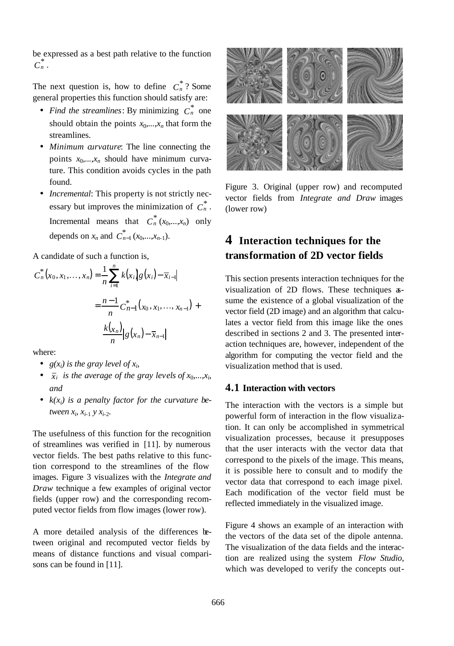be expressed as a best path relative to the function  $C_n^*$  .

The next question is, how to define  $C_n^*$ ? Some general properties this function should satisfy are:

- *Find the streamlines*: By minimizing  $C_n^*$  one should obtain the points  $x_0$ , ...,  $x_n$  that form the streamlines.
- *Minimum curvature*: The line connecting the points  $x_0$ ,  $x_n$  should have minimum curvature. This condition avoids cycles in the path found.
- *Incremental*: This property is not strictly necessary but improves the minimization of  $C_n^*$ . Incremental means that  $C_n^*(x_0,...,x_n)$  only depends on  $x_n$  and  $C_{n-1}^*(x_0,...,x_{n-1})$ .

A candidate of such a function is,

$$
C_n^*(x_0, x_1, ..., x_n) = \frac{1}{n} \sum_{i=1}^n k(x_i) g(x_i) - \overline{x}_{i-1}
$$

$$
= \frac{n-1}{n} C_{n-1}^*(x_0, x_1, ..., x_{n-1}) + \frac{k(x_n)}{n} |g(x_n) - \overline{x}_{n-1}|
$$

where:

- $g(x_i)$  *is the gray level of*  $x_i$ ,
- $\bar{x}_i$  *is the average of the gray levels of*  $x_0, \ldots, x_i$ *and*
- $k(x_i)$  *is a penalty factor for the curvature between*  $x_i$ ,  $x_{i-1}$   $y$   $x_{i-2}$ .

The usefulness of this function for the recognition of streamlines was verified in [11]. by numerous vector fields. The best paths relative to this function correspond to the streamlines of the flow images. Figure 3 visualizes with the *Integrate and Draw* technique a few examples of original vector fields (upper row) and the corresponding recomputed vector fields from flow images (lower row).

A more detailed analysis of the differences between original and recomputed vector fields by means of distance functions and visual comparisons can be found in [11].



Figure 3. Original (upper row) and recomputed vector fields from *Integrate and Draw* images (lower row)

## **4 Interaction techniques for the transformation of 2D vector fields**

This section presents interaction techniques for the visualization of 2D flows. These techniques assume the existence of a global visualization of the vector field (2D image) and an algorithm that calculates a vector field from this image like the ones described in sections 2 and 3. The presented interaction techniques are, however, independent of the algorithm for computing the vector field and the visualization method that is used.

#### **4.1 Interaction with vectors**

The interaction with the vectors is a simple but powerful form of interaction in the flow visualization. It can only be accomplished in symmetrical visualization processes, because it presupposes that the user interacts with the vector data that correspond to the pixels of the image. This means, it is possible here to consult and to modify the vector data that correspond to each image pixel. Each modification of the vector field must be reflected immediately in the visualized image.

Figure 4 shows an example of an interaction with the vectors of the data set of the dipole antenna. The visualization of the data fields and the interaction are realized using the system *Flow Studio*, which was developed to verify the concepts out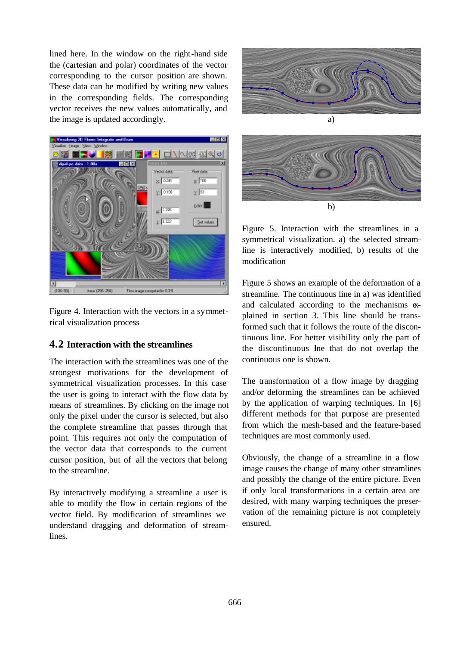lined here. In the window on the right-hand side the (cartesian and polar) coordinates of the vector corresponding to the cursor position are shown. These data can be modified by writing new values in the corresponding fields. The corresponding vector receives the new values automatically, and the image is updated accordingly.





Figure 4. Interaction with the vectors in a symmetrical visualization process

### **4.2 Interaction with the streamlines**

The interaction with the streamlines was one of the strongest motivations for the development of symmetrical visualization processes. In this case the user is going to interact with the flow data by means of streamlines. By clicking on the image not only the pixel under the cursor is selected, but also the complete streamline that passes through that point. This requires not only the computation of the vector data that corresponds to the current cursor position, but of all the vectors that belong to the streamline.

By interactively modifying a streamline a user is able to modify the flow in certain regions of the vector field. By modification of streamlines we understand dragging and deformation of streamlines.



Figure 5. Interaction with the streamlines in a symmetrical visualization. a) the selected streamline is interactively modified, b) results of the modification

Figure 5 shows an example of the deformation of a streamline. The continuous line in a) was identified and calculated according to the mechanisms explained in section 3. This line should be transformed such that it follows the route of the discontinuous line. For better visibility only the part of the discontinuous line that do not overlap the continuous one is shown.

The transformation of a flow image by dragging and/or deforming the streamlines can be achieved by the application of warping techniques. In [6] different methods for that purpose are presented from which the mesh-based and the feature-based techniques are most commonly used.

Obviously, the change of a streamline in a flow image causes the change of many other streamlines and possibly the change of the entire picture. Even if only local transformations in a certain area are desired, with many warping techniques the preservation of the remaining picture is not completely ensured.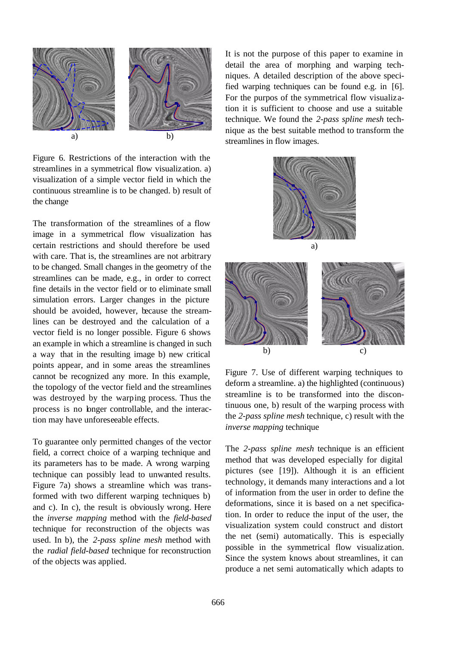

Figure 6. Restrictions of the interaction with the streamlines in a symmetrical flow visualization. a) visualization of a simple vector field in which the continuous streamline is to be changed. b) result of the change

The transformation of the streamlines of a flow image in a symmetrical flow visualization has certain restrictions and should therefore be used with care. That is, the streamlines are not arbitrary to be changed. Small changes in the geometry of the streamlines can be made, e.g., in order to correct fine details in the vector field or to eliminate small simulation errors. Larger changes in the picture should be avoided, however, because the streamlines can be destroyed and the calculation of a vector field is no longer possible. Figure 6 shows an example in which a streamline is changed in such a way that in the resulting image b) new critical points appear, and in some areas the streamlines cannot be recognized any more. In this example, the topology of the vector field and the streamlines was destroyed by the warping process. Thus the process is no longer controllable, and the interaction may have unforeseeable effects.

To guarantee only permitted changes of the vector field, a correct choice of a warping technique and its parameters has to be made. A wrong warping technique can possibly lead to unwanted results. Figure 7a) shows a streamline which was transformed with two different warping techniques b) and c). In c), the result is obviously wrong. Here the *inverse mapping* method with the *field-based* technique for reconstruction of the objects was used. In b), the *2-pass spline mesh* method with the *radial field-based* technique for reconstruction of the objects was applied.

It is not the purpose of this paper to examine in detail the area of morphing and warping techniques. A detailed description of the above specified warping techniques can be found e.g. in [6]. For the purpos of the symmetrical flow visualization it is sufficient to choose and use a suitable technique. We found the *2-pass spline mesh* technique as the best suitable method to transform the streamlines in flow images.



Figure 7. Use of different warping techniques to deform a streamline. a) the highlighted (continuous) streamline is to be transformed into the discontinuous one, b) result of the warping process with the *2-pass spline mesh* technique, c) result with the *inverse mapping* technique

The *2-pass spline mesh* technique is an efficient method that was developed especially for digital pictures (see [19]). Although it is an efficient technology, it demands many interactions and a lot of information from the user in order to define the deformations, since it is based on a net specification. In order to reduce the input of the user, the visualization system could construct and distort the net (semi) automatically. This is especially possible in the symmetrical flow visualization. Since the system knows about streamlines, it can produce a net semi automatically which adapts to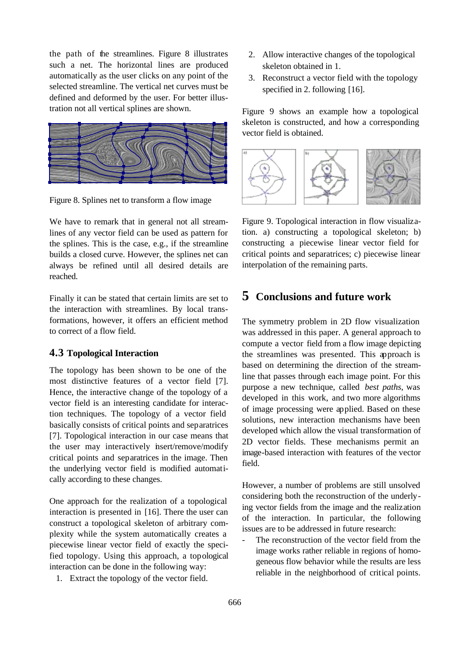the path of the streamlines. Figure 8 illustrates such a net. The horizontal lines are produced automatically as the user clicks on any point of the selected streamline. The vertical net curves must be defined and deformed by the user. For better illustration not all vertical splines are shown.



Figure 8. Splines net to transform a flow image

We have to remark that in general not all streamlines of any vector field can be used as pattern for the splines. This is the case, e.g., if the streamline builds a closed curve. However, the splines net can always be refined until all desired details are reached.

Finally it can be stated that certain limits are set to the interaction with streamlines. By local transformations, however, it offers an efficient method to correct of a flow field.

#### **4.3 Topological Interaction**

The topology has been shown to be one of the most distinctive features of a vector field [7]. Hence, the interactive change of the topology of a vector field is an interesting candidate for interaction techniques. The topology of a vector field basically consists of critical points and separatrices [7]. Topological interaction in our case means that the user may interactively insert/remove/modify critical points and separatrices in the image. Then the underlying vector field is modified automatically according to these changes.

One approach for the realization of a topological interaction is presented in [16]. There the user can construct a topological skeleton of arbitrary complexity while the system automatically creates a piecewise linear vector field of exactly the specified topology. Using this approach, a topological interaction can be done in the following way:

1. Extract the topology of the vector field.

- 2. Allow interactive changes of the topological skeleton obtained in 1.
- 3. Reconstruct a vector field with the topology specified in 2. following [16].

Figure 9 shows an example how a topological skeleton is constructed, and how a corresponding vector field is obtained.



Figure 9. Topological interaction in flow visualization. a) constructing a topological skeleton; b) constructing a piecewise linear vector field for critical points and separatrices; c) piecewise linear interpolation of the remaining parts.

### **5 Conclusions and future work**

The symmetry problem in 2D flow visualization was addressed in this paper. A general approach to compute a vector field from a flow image depicting the streamlines was presented. This approach is based on determining the direction of the streamline that passes through each image point. For this purpose a new technique, called *best paths*, was developed in this work, and two more algorithms of image processing were applied. Based on these solutions, new interaction mechanisms have been developed which allow the visual transformation of 2D vector fields. These mechanisms permit an image-based interaction with features of the vector field.

However, a number of problems are still unsolved considering both the reconstruction of the underlying vector fields from the image and the realization of the interaction. In particular, the following issues are to be addressed in future research:

The reconstruction of the vector field from the image works rather reliable in regions of homogeneous flow behavior while the results are less reliable in the neighborhood of critical points.